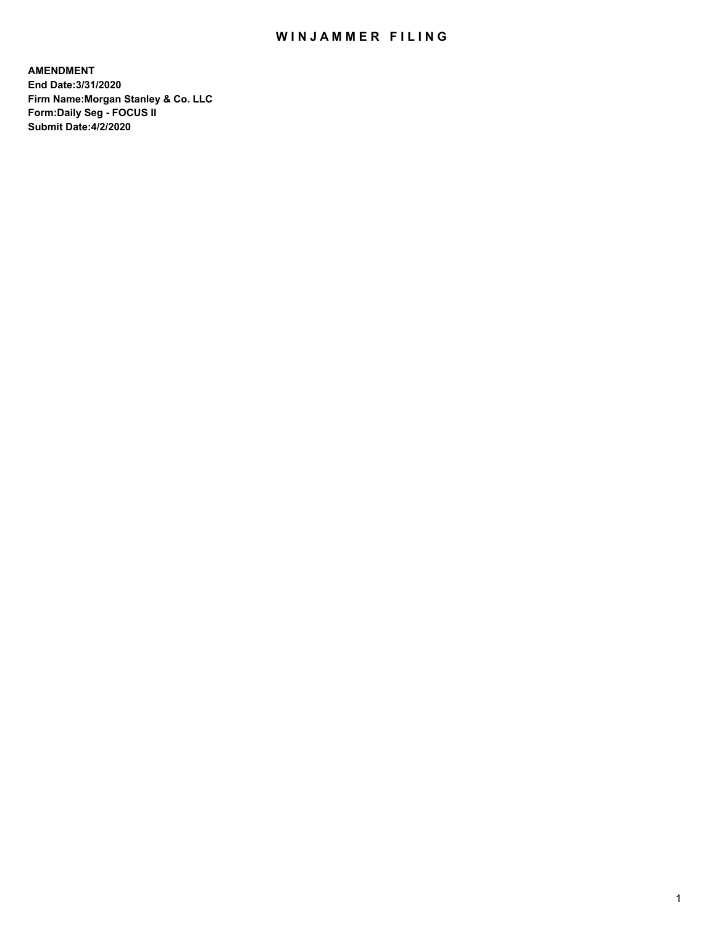## WIN JAMMER FILING

**AMENDMENT End Date:3/31/2020 Firm Name:Morgan Stanley & Co. LLC Form:Daily Seg - FOCUS II Submit Date:4/2/2020**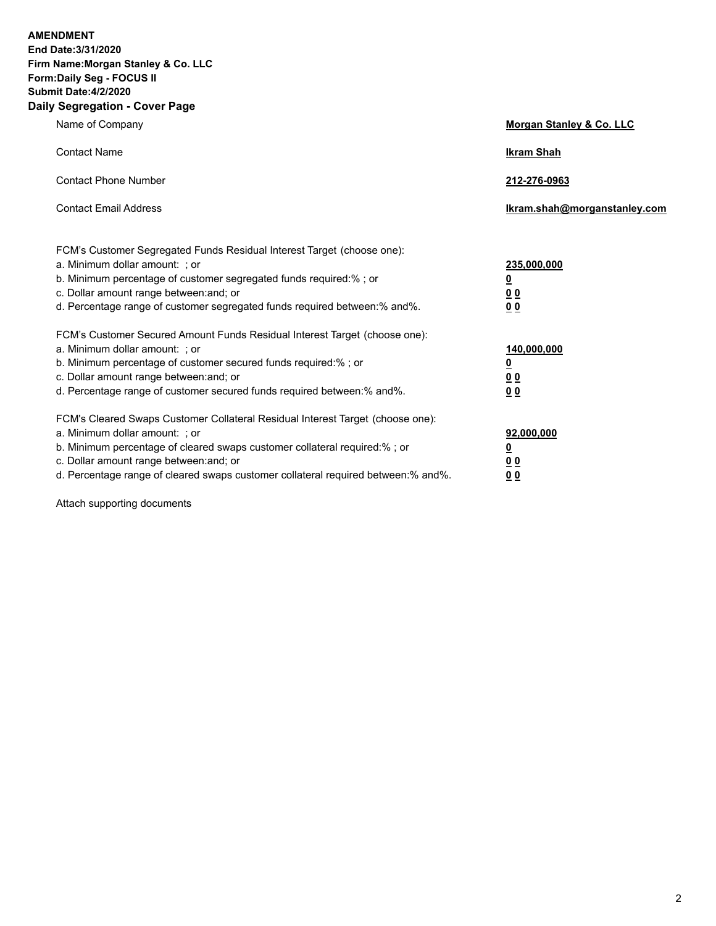**AMENDMENT** 

**End Date:3/31/2020 Firm Name:Morgan Stanley & Co. LLC Form:Daily Seg - FOCUS II Submit Date:4/2/2020**

## **Daily Segregation - Cover Page**

| Name of Company                                                                                     | <b>Morgan Stanley &amp; Co. LLC</b> |
|-----------------------------------------------------------------------------------------------------|-------------------------------------|
| <b>Contact Name</b>                                                                                 | <b>Ikram Shah</b>                   |
| <b>Contact Phone Number</b>                                                                         | 212-276-0963                        |
| <b>Contact Email Address</b>                                                                        | lkram.shah@morganstanley.com        |
| FCM's Customer Segregated Funds Residual Interest Target (choose one):                              | 235,000,000                         |
| a. Minimum dollar amount: ; or<br>b. Minimum percentage of customer segregated funds required:%; or | <u>0</u>                            |
| c. Dollar amount range between: and; or                                                             | 0 <sub>0</sub>                      |
| d. Percentage range of customer segregated funds required between:% and%.                           | 00                                  |
| FCM's Customer Secured Amount Funds Residual Interest Target (choose one):                          |                                     |
| a. Minimum dollar amount: ; or                                                                      | 140,000,000                         |
| b. Minimum percentage of customer secured funds required:% ; or                                     | <u>0</u>                            |
| c. Dollar amount range between: and; or                                                             | 0 <sub>0</sub>                      |
| d. Percentage range of customer secured funds required between:% and%.                              | 0 <sub>0</sub>                      |
| FCM's Cleared Swaps Customer Collateral Residual Interest Target (choose one):                      |                                     |
| a. Minimum dollar amount: ; or                                                                      | 92,000,000                          |
| b. Minimum percentage of cleared swaps customer collateral required:% ; or                          | <u>0</u>                            |
| c. Dollar amount range between: and; or                                                             | 0 Q                                 |
| d. Percentage range of cleared swaps customer collateral required between:% and%.                   | 0 <sup>0</sup>                      |

Attach supporting documents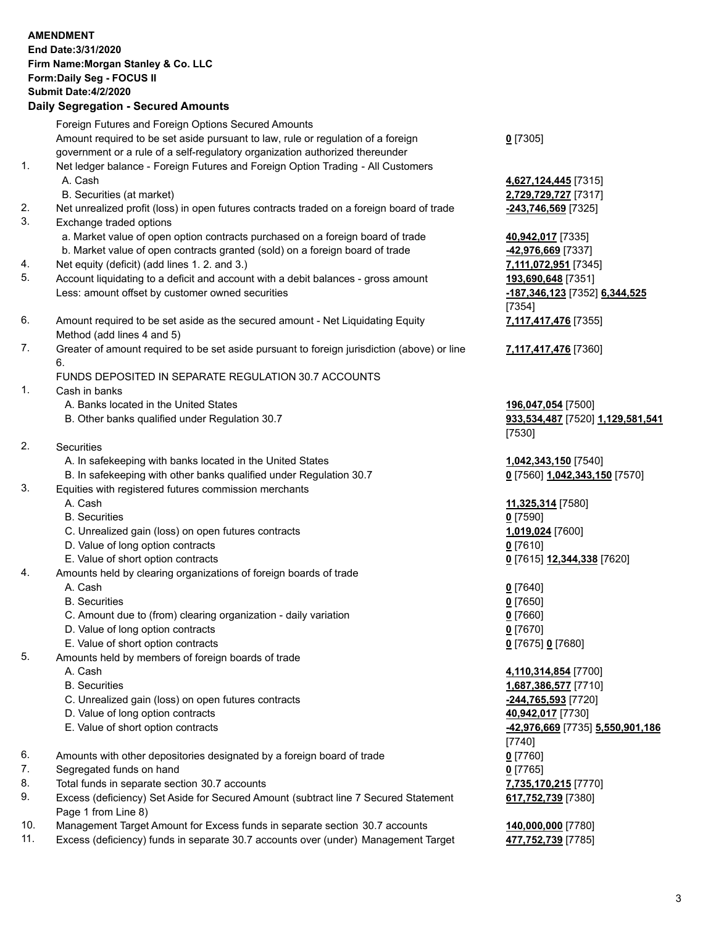|     | <b>AMENDMENT</b><br>End Date: 3/31/2020<br>Firm Name: Morgan Stanley & Co. LLC<br>Form: Daily Seg - FOCUS II<br><b>Submit Date: 4/2/2020</b><br><b>Daily Segregation - Secured Amounts</b> |                                                     |
|-----|--------------------------------------------------------------------------------------------------------------------------------------------------------------------------------------------|-----------------------------------------------------|
|     | Foreign Futures and Foreign Options Secured Amounts                                                                                                                                        |                                                     |
|     | Amount required to be set aside pursuant to law, rule or regulation of a foreign<br>government or a rule of a self-regulatory organization authorized thereunder                           | $0$ [7305]                                          |
| 1.  | Net ledger balance - Foreign Futures and Foreign Option Trading - All Customers<br>A. Cash                                                                                                 | 4,627,124,445 [7315]                                |
| 2.  | B. Securities (at market)<br>Net unrealized profit (loss) in open futures contracts traded on a foreign board of trade                                                                     | 2,729,729,727 [7317]<br>-243,746,569 [7325]         |
| 3.  | Exchange traded options                                                                                                                                                                    |                                                     |
|     | a. Market value of open option contracts purchased on a foreign board of trade                                                                                                             | 40,942,017 [7335]                                   |
|     | b. Market value of open contracts granted (sold) on a foreign board of trade                                                                                                               | 42,976,669 [7337]                                   |
| 4.  | Net equity (deficit) (add lines 1. 2. and 3.)                                                                                                                                              | 7,111,072,951 [7345]                                |
| 5.  | Account liquidating to a deficit and account with a debit balances - gross amount<br>Less: amount offset by customer owned securities                                                      | 193,690,648 [7351]<br>-187,346,123 [7352] 6,344,525 |
|     |                                                                                                                                                                                            | [7354]                                              |
| 6.  | Amount required to be set aside as the secured amount - Net Liquidating Equity<br>Method (add lines 4 and 5)                                                                               | 7,117,417,476 [7355]                                |
| 7.  | Greater of amount required to be set aside pursuant to foreign jurisdiction (above) or line                                                                                                | 7,117,417,476 [7360]                                |
|     | 6.                                                                                                                                                                                         |                                                     |
| 1.  | FUNDS DEPOSITED IN SEPARATE REGULATION 30.7 ACCOUNTS<br>Cash in banks                                                                                                                      |                                                     |
|     | A. Banks located in the United States                                                                                                                                                      | 196,047,054 [7500]                                  |
|     | B. Other banks qualified under Regulation 30.7                                                                                                                                             | 933,534,487 [7520] 1,129,581,541<br>[7530]          |
| 2.  | <b>Securities</b>                                                                                                                                                                          |                                                     |
|     | A. In safekeeping with banks located in the United States                                                                                                                                  | 1,042,343,150 [7540]                                |
| 3.  | B. In safekeeping with other banks qualified under Regulation 30.7                                                                                                                         | 0 [7560] 1,042,343,150 [7570]                       |
|     | Equities with registered futures commission merchants<br>A. Cash                                                                                                                           | 11,325,314 [7580]                                   |
|     | <b>B.</b> Securities                                                                                                                                                                       | $0$ [7590]                                          |
|     | C. Unrealized gain (loss) on open futures contracts                                                                                                                                        | 1,019,024 [7600]                                    |
|     | D. Value of long option contracts                                                                                                                                                          | $0$ [7610]                                          |
|     | E. Value of short option contracts                                                                                                                                                         | 0 [7615] 12,344,338 [7620]                          |
| 4.  | Amounts held by clearing organizations of foreign boards of trade                                                                                                                          |                                                     |
|     | A. Cash<br><b>B.</b> Securities                                                                                                                                                            | $0$ [7640]<br>$0$ [7650]                            |
|     | C. Amount due to (from) clearing organization - daily variation                                                                                                                            | $0$ [7660]                                          |
|     | D. Value of long option contracts                                                                                                                                                          | $0$ [7670]                                          |
|     | E. Value of short option contracts                                                                                                                                                         | 0 [7675] 0 [7680]                                   |
| 5.  | Amounts held by members of foreign boards of trade                                                                                                                                         |                                                     |
|     | A. Cash                                                                                                                                                                                    | 4,110,314,854 [7700]                                |
|     | <b>B.</b> Securities                                                                                                                                                                       | 1,687,386,577 [7710]                                |
|     | C. Unrealized gain (loss) on open futures contracts<br>D. Value of long option contracts                                                                                                   | -244,765,593 [7720]<br>40,942,017 [7730]            |
|     | E. Value of short option contracts                                                                                                                                                         | -42,976,669 [7735] 5,550,901,186                    |
|     |                                                                                                                                                                                            | $[7740]$                                            |
| 6.  | Amounts with other depositories designated by a foreign board of trade                                                                                                                     | $0$ [7760]                                          |
| 7.  | Segregated funds on hand                                                                                                                                                                   | $0$ [7765]                                          |
| 8.  | Total funds in separate section 30.7 accounts                                                                                                                                              | 7,735,170,215 [7770]                                |
| 9.  | Excess (deficiency) Set Aside for Secured Amount (subtract line 7 Secured Statement<br>Page 1 from Line 8)                                                                                 | 617,752,739 [7380]                                  |
| 10. | Management Target Amount for Excess funds in separate section 30.7 accounts                                                                                                                | 140,000,000 [7780]                                  |
| 11. | Excess (deficiency) funds in separate 30.7 accounts over (under) Management Target                                                                                                         | 477,752,739 [7785]                                  |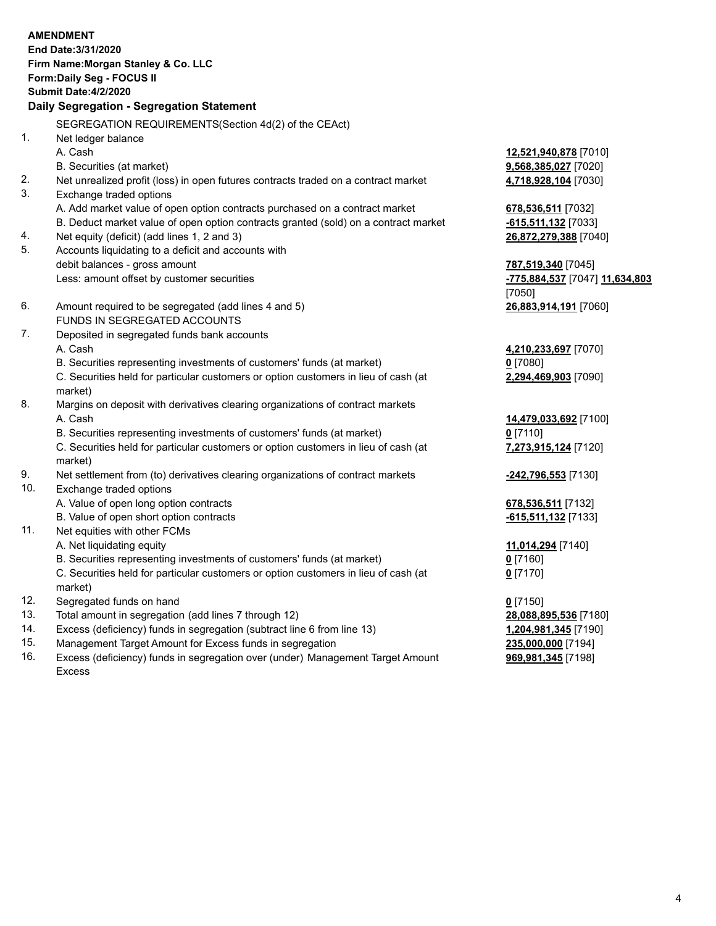|          | <b>AMENDMENT</b>                                                                               |                                    |
|----------|------------------------------------------------------------------------------------------------|------------------------------------|
|          | End Date: 3/31/2020                                                                            |                                    |
|          | Firm Name: Morgan Stanley & Co. LLC                                                            |                                    |
|          | Form: Daily Seg - FOCUS II                                                                     |                                    |
|          | <b>Submit Date:4/2/2020</b>                                                                    |                                    |
|          | Daily Segregation - Segregation Statement                                                      |                                    |
|          |                                                                                                |                                    |
| 1.       | SEGREGATION REQUIREMENTS(Section 4d(2) of the CEAct)                                           |                                    |
|          | Net ledger balance                                                                             |                                    |
|          | A. Cash                                                                                        | 12,521,940,878 [7010]              |
|          | B. Securities (at market)                                                                      | 9,568,385,027 [7020]               |
| 2.<br>3. | Net unrealized profit (loss) in open futures contracts traded on a contract market             | 4,718,928,104 [7030]               |
|          | Exchange traded options                                                                        |                                    |
|          | A. Add market value of open option contracts purchased on a contract market                    | 678,536,511 [7032]                 |
|          | B. Deduct market value of open option contracts granted (sold) on a contract market            | $-615,511,132$ [7033]              |
| 4.<br>5. | Net equity (deficit) (add lines 1, 2 and 3)                                                    | 26,872,279,388 [7040]              |
|          | Accounts liquidating to a deficit and accounts with                                            |                                    |
|          | debit balances - gross amount                                                                  | 787,519,340 [7045]                 |
|          | Less: amount offset by customer securities                                                     | -775,884,537 [7047] 11,634,803     |
| 6.       |                                                                                                | [7050]                             |
|          | Amount required to be segregated (add lines 4 and 5)<br>FUNDS IN SEGREGATED ACCOUNTS           | 26,883,914,191 [7060]              |
| 7.       |                                                                                                |                                    |
|          | Deposited in segregated funds bank accounts                                                    |                                    |
|          | A. Cash<br>B. Securities representing investments of customers' funds (at market)              | 4,210,233,697 [7070]<br>$0$ [7080] |
|          |                                                                                                |                                    |
|          | C. Securities held for particular customers or option customers in lieu of cash (at<br>market) | 2,294,469,903 [7090]               |
| 8.       | Margins on deposit with derivatives clearing organizations of contract markets                 |                                    |
|          | A. Cash                                                                                        | 14,479,033,692 [7100]              |
|          | B. Securities representing investments of customers' funds (at market)                         | $0$ [7110]                         |
|          | C. Securities held for particular customers or option customers in lieu of cash (at            | 7,273,915,124 [7120]               |
|          | market)                                                                                        |                                    |
| 9.       | Net settlement from (to) derivatives clearing organizations of contract markets                | -242,796,553 [7130]                |
| 10.      | Exchange traded options                                                                        |                                    |
|          | A. Value of open long option contracts                                                         | 678,536,511 [7132]                 |
|          | B. Value of open short option contracts                                                        | -615,511,132 [7133]                |
| 11.      | Net equities with other FCMs                                                                   |                                    |
|          | A. Net liquidating equity                                                                      | 11,014,294 [7140]                  |
|          | B. Securities representing investments of customers' funds (at market)                         | $0$ [7160]                         |
|          | C. Securities held for particular customers or option customers in lieu of cash (at            | $0$ [7170]                         |
|          | market)                                                                                        |                                    |
| 12.      | Segregated funds on hand                                                                       | $0$ [7150]                         |
| 13.      | Total amount in segregation (add lines 7 through 12)                                           | 28,088,895,536 [7180]              |
| 14.      | Excess (deficiency) funds in segregation (subtract line 6 from line 13)                        | 1,204,981,345 [7190]               |
|          |                                                                                                |                                    |

15. Management Target Amount for Excess funds in segregation<br>16. Excess (deficiency) funds in segregation over (under) Management Target Amount **235,000,981,345** [7198] Excess (deficiency) funds in segregation over (under) Management Target Amount Excess

**969,981,345** [7198]